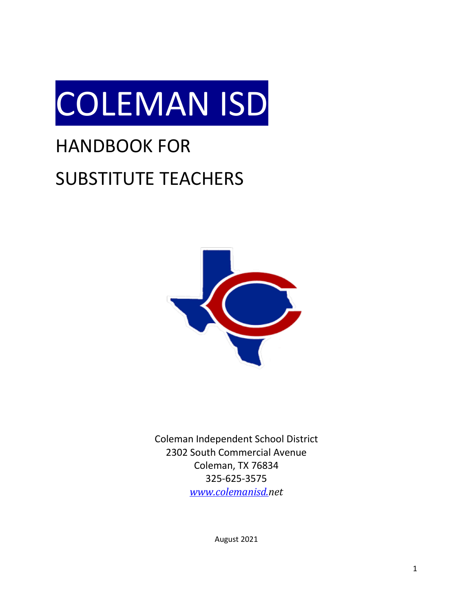

# HANDBOOK FOR SUBSTITUTE TEACHERS



Coleman Independent School District 2302 South Commercial Avenue Coleman, TX 76834 325-625-3575 *[www.colemanisd.n](http://www.colemanisd./)et*

August 2021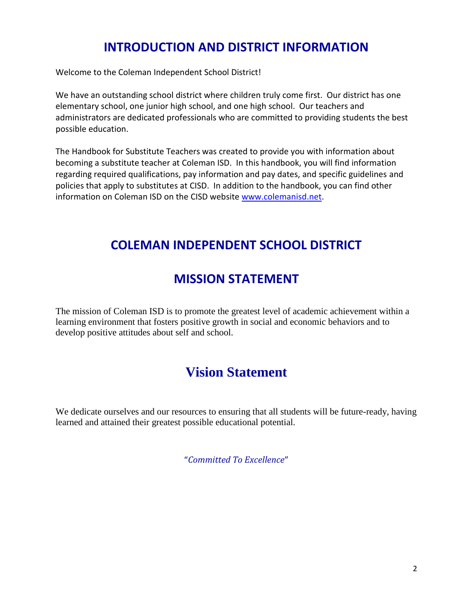# **INTRODUCTION AND DISTRICT INFORMATION**

Welcome to the Coleman Independent School District!

We have an outstanding school district where children truly come first. Our district has one elementary school, one junior high school, and one high school. Our teachers and administrators are dedicated professionals who are committed to providing students the best possible education.

The Handbook for Substitute Teachers was created to provide you with information about becoming a substitute teacher at Coleman ISD. In this handbook, you will find information regarding required qualifications, pay information and pay dates, and specific guidelines and policies that apply to substitutes at CISD. In addition to the handbook, you can find other information on Coleman ISD on the CISD website [www.colemanisd.n](http://www.colemanisd./)et.

# **COLEMAN INDEPENDENT SCHOOL DISTRICT**

# **MISSION STATEMENT**

The mission of Coleman ISD is to promote the greatest level of academic achievement within a learning environment that fosters positive growth in social and economic behaviors and to develop positive attitudes about self and school.

# **Vision Statement**

We dedicate ourselves and our resources to ensuring that all students will be future-ready, having learned and attained their greatest possible educational potential.

"*Committed To Excellence*"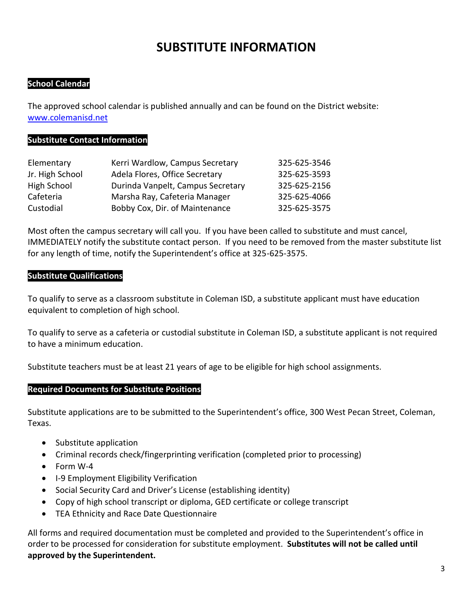# **SUBSTITUTE INFORMATION**

# **School Calendar**

The approved school calendar is published annually and can be found on the District website: [www.colemanisd.n](http://www.colemanisd./)et

#### **Substitute Contact Information**

| Elementary      | Kerri Wardlow, Campus Secretary   | 325-625-3546 |
|-----------------|-----------------------------------|--------------|
| Jr. High School | Adela Flores, Office Secretary    | 325-625-3593 |
| High School     | Durinda Vanpelt, Campus Secretary | 325-625-2156 |
| Cafeteria       | Marsha Ray, Cafeteria Manager     | 325-625-4066 |
| Custodial       | Bobby Cox, Dir. of Maintenance    | 325-625-3575 |

Most often the campus secretary will call you. If you have been called to substitute and must cancel, IMMEDIATELY notify the substitute contact person. If you need to be removed from the master substitute list for any length of time, notify the Superintendent's office at 325-625-3575.

## **Substitute Qualifications**

To qualify to serve as a classroom substitute in Coleman ISD, a substitute applicant must have education equivalent to completion of high school.

To qualify to serve as a cafeteria or custodial substitute in Coleman ISD, a substitute applicant is not required to have a minimum education.

Substitute teachers must be at least 21 years of age to be eligible for high school assignments.

#### **Required Documents for Substitute Positions**

Substitute applications are to be submitted to the Superintendent's office, 300 West Pecan Street, Coleman, Texas.

- Substitute application
- Criminal records check/fingerprinting verification (completed prior to processing)
- Form W-4
- I-9 Employment Eligibility Verification
- Social Security Card and Driver's License (establishing identity)
- Copy of high school transcript or diploma, GED certificate or college transcript
- TEA Ethnicity and Race Date Questionnaire

All forms and required documentation must be completed and provided to the Superintendent's office in order to be processed for consideration for substitute employment. **Substitutes will not be called until approved by the Superintendent.**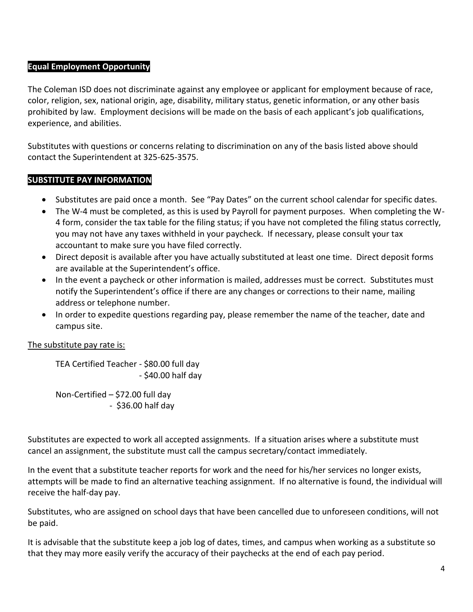# **Equal Employment Opportunity**

The Coleman ISD does not discriminate against any employee or applicant for employment because of race, color, religion, sex, national origin, age, disability, military status, genetic information, or any other basis prohibited by law. Employment decisions will be made on the basis of each applicant's job qualifications, experience, and abilities.

Substitutes with questions or concerns relating to discrimination on any of the basis listed above should contact the Superintendent at 325-625-3575.

# **SUBSTITUTE PAY INFORMATION**

- Substitutes are paid once a month. See "Pay Dates" on the current school calendar for specific dates.
- The W-4 must be completed, as this is used by Payroll for payment purposes. When completing the W-4 form, consider the tax table for the filing status; if you have not completed the filing status correctly, you may not have any taxes withheld in your paycheck. If necessary, please consult your tax accountant to make sure you have filed correctly.
- Direct deposit is available after you have actually substituted at least one time. Direct deposit forms are available at the Superintendent's office.
- In the event a paycheck or other information is mailed, addresses must be correct. Substitutes must notify the Superintendent's office if there are any changes or corrections to their name, mailing address or telephone number.
- In order to expedite questions regarding pay, please remember the name of the teacher, date and campus site.

The substitute pay rate is:

TEA Certified Teacher - \$80.00 full day - \$40.00 half day

Non-Certified – \$72.00 full day - \$36.00 half day

Substitutes are expected to work all accepted assignments. If a situation arises where a substitute must cancel an assignment, the substitute must call the campus secretary/contact immediately.

In the event that a substitute teacher reports for work and the need for his/her services no longer exists, attempts will be made to find an alternative teaching assignment. If no alternative is found, the individual will receive the half-day pay.

Substitutes, who are assigned on school days that have been cancelled due to unforeseen conditions, will not be paid.

It is advisable that the substitute keep a job log of dates, times, and campus when working as a substitute so that they may more easily verify the accuracy of their paychecks at the end of each pay period.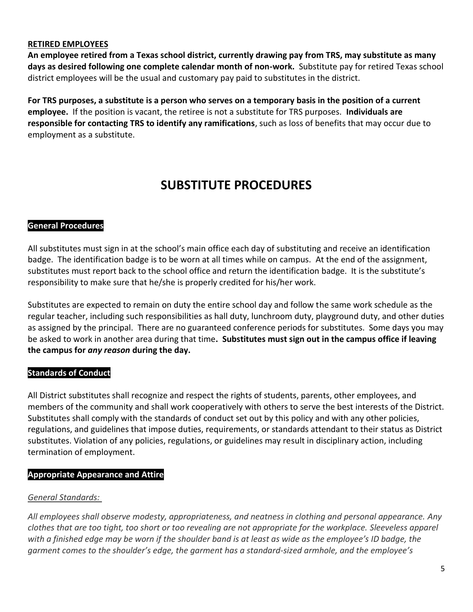### **RETIRED EMPLOYEES**

**An employee retired from a Texas school district, currently drawing pay from TRS, may substitute as many days as desired following one complete calendar month of non-work.** Substitute pay for retired Texas school district employees will be the usual and customary pay paid to substitutes in the district.

**For TRS purposes, a substitute is a person who serves on a temporary basis in the position of a current employee.** If the position is vacant, the retiree is not a substitute for TRS purposes. **Individuals are responsible for contacting TRS to identify any ramifications**, such as loss of benefits that may occur due to employment as a substitute.

# **SUBSTITUTE PROCEDURES**

## **General Procedures**

All substitutes must sign in at the school's main office each day of substituting and receive an identification badge. The identification badge is to be worn at all times while on campus. At the end of the assignment, substitutes must report back to the school office and return the identification badge. It is the substitute's responsibility to make sure that he/she is properly credited for his/her work.

Substitutes are expected to remain on duty the entire school day and follow the same work schedule as the regular teacher, including such responsibilities as hall duty, lunchroom duty, playground duty, and other duties as assigned by the principal. There are no guaranteed conference periods for substitutes. Some days you may be asked to work in another area during that time**. Substitutes must sign out in the campus office if leaving the campus for** *any reason* **during the day.**

# **Standards of Conduct**

All District substitutes shall recognize and respect the rights of students, parents, other employees, and members of the community and shall work cooperatively with others to serve the best interests of the District. Substitutes shall comply with the standards of conduct set out by this policy and with any other policies, regulations, and guidelines that impose duties, requirements, or standards attendant to their status as District substitutes. Violation of any policies, regulations, or guidelines may result in disciplinary action, including termination of employment.

# **Appropriate Appearance and Attire**

# *General Standards:*

*All employees shall observe modesty, appropriateness, and neatness in clothing and personal appearance. Any clothes that are too tight, too short or too revealing are not appropriate for the workplace. Sleeveless apparel with a finished edge may be worn if the shoulder band is at least as wide as the employee's ID badge, the garment comes to the shoulder's edge, the garment has a standard-sized armhole, and the employee's*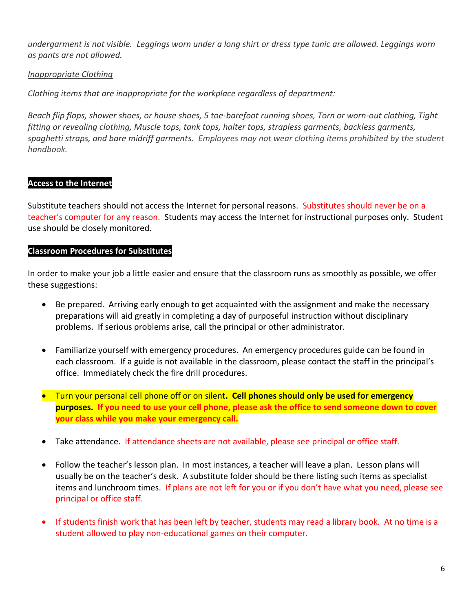*undergarment is not visible. Leggings worn under a long shirt or dress type tunic are allowed. Leggings worn as pants are not allowed.*

## *Inappropriate Clothing*

*Clothing items that are inappropriate for the workplace regardless of department:*

*Beach flip flops, shower shoes, or house shoes, 5 toe-barefoot running shoes, Torn or worn-out clothing, Tight fitting or revealing clothing, Muscle tops, tank tops, halter tops, strapless garments, backless garments, spaghetti straps, and bare midriff garments. Employees may not wear clothing items prohibited by the student handbook.*

## **Access to the Internet**

Substitute teachers should not access the Internet for personal reasons. Substitutes should never be on a teacher's computer for any reason. Students may access the Internet for instructional purposes only. Student use should be closely monitored.

#### **Classroom Procedures for Substitutes**

In order to make your job a little easier and ensure that the classroom runs as smoothly as possible, we offer these suggestions:

- Be prepared. Arriving early enough to get acquainted with the assignment and make the necessary preparations will aid greatly in completing a day of purposeful instruction without disciplinary problems. If serious problems arise, call the principal or other administrator.
- Familiarize yourself with emergency procedures. An emergency procedures guide can be found in each classroom. If a guide is not available in the classroom, please contact the staff in the principal's office. Immediately check the fire drill procedures.
- Turn your personal cell phone off or on silent**. Cell phones should only be used for emergency purposes. If you need to use your cell phone, please ask the office to send someone down to cover your class while you make your emergency call.**
- Take attendance. If attendance sheets are not available, please see principal or office staff.
- Follow the teacher's lesson plan. In most instances, a teacher will leave a plan. Lesson plans will usually be on the teacher's desk. A substitute folder should be there listing such items as specialist items and lunchroom times. If plans are not left for you or if you don't have what you need, please see principal or office staff.
- If students finish work that has been left by teacher, students may read a library book. At no time is a student allowed to play non-educational games on their computer.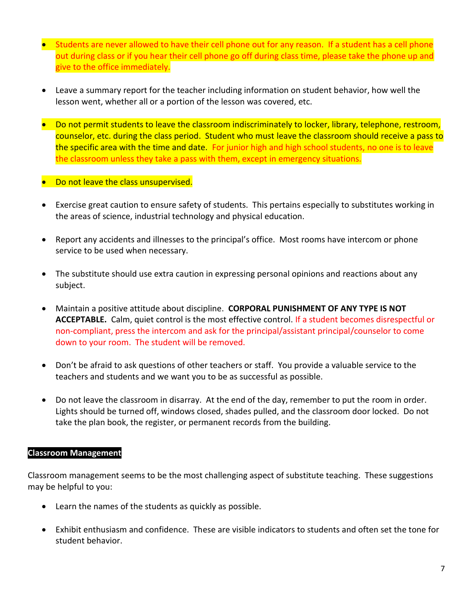- Students are never allowed to have their cell phone out for any reason. If a student has a cell phone out during class or if you hear their cell phone go off during class time, please take the phone up and give to the office immediately.
- Leave a summary report for the teacher including information on student behavior, how well the lesson went, whether all or a portion of the lesson was covered, etc.
- Do not permit students to leave the classroom indiscriminately to locker, library, telephone, restroom, counselor, etc. during the class period. Student who must leave the classroom should receive a pass to the specific area with the time and date. For junior high and high school students, no one is to leave the classroom unless they take a pass with them, except in emergency situations.
- Do not leave the class unsupervised.
- Exercise great caution to ensure safety of students. This pertains especially to substitutes working in the areas of science, industrial technology and physical education.
- Report any accidents and illnesses to the principal's office. Most rooms have intercom or phone service to be used when necessary.
- The substitute should use extra caution in expressing personal opinions and reactions about any subject.
- Maintain a positive attitude about discipline. **CORPORAL PUNISHMENT OF ANY TYPE IS NOT ACCEPTABLE.** Calm, quiet control is the most effective control. If a student becomes disrespectful or non-compliant, press the intercom and ask for the principal/assistant principal/counselor to come down to your room. The student will be removed.
- Don't be afraid to ask questions of other teachers or staff. You provide a valuable service to the teachers and students and we want you to be as successful as possible.
- Do not leave the classroom in disarray. At the end of the day, remember to put the room in order. Lights should be turned off, windows closed, shades pulled, and the classroom door locked. Do not take the plan book, the register, or permanent records from the building.

#### **Classroom Management**

Classroom management seems to be the most challenging aspect of substitute teaching. These suggestions may be helpful to you:

- Learn the names of the students as quickly as possible.
- Exhibit enthusiasm and confidence. These are visible indicators to students and often set the tone for student behavior.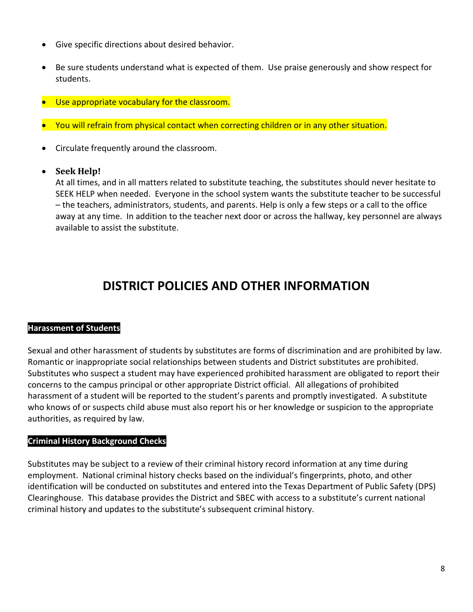- Give specific directions about desired behavior.
- Be sure students understand what is expected of them. Use praise generously and show respect for students.
- Use appropriate vocabulary for the classroom.
- You will refrain from physical contact when correcting children or in any other situation.
- Circulate frequently around the classroom.

## • **Seek Help!**

At all times, and in all matters related to substitute teaching, the substitutes should never hesitate to SEEK HELP when needed. Everyone in the school system wants the substitute teacher to be successful – the teachers, administrators, students, and parents. Help is only a few steps or a call to the office away at any time. In addition to the teacher next door or across the hallway, key personnel are always available to assist the substitute.

# **DISTRICT POLICIES AND OTHER INFORMATION**

#### **Harassment of Students**

Sexual and other harassment of students by substitutes are forms of discrimination and are prohibited by law. Romantic or inappropriate social relationships between students and District substitutes are prohibited. Substitutes who suspect a student may have experienced prohibited harassment are obligated to report their concerns to the campus principal or other appropriate District official. All allegations of prohibited harassment of a student will be reported to the student's parents and promptly investigated. A substitute who knows of or suspects child abuse must also report his or her knowledge or suspicion to the appropriate authorities, as required by law.

# **Criminal History Background Checks**

Substitutes may be subject to a review of their criminal history record information at any time during employment. National criminal history checks based on the individual's fingerprints, photo, and other identification will be conducted on substitutes and entered into the Texas Department of Public Safety (DPS) Clearinghouse. This database provides the District and SBEC with access to a substitute's current national criminal history and updates to the substitute's subsequent criminal history.